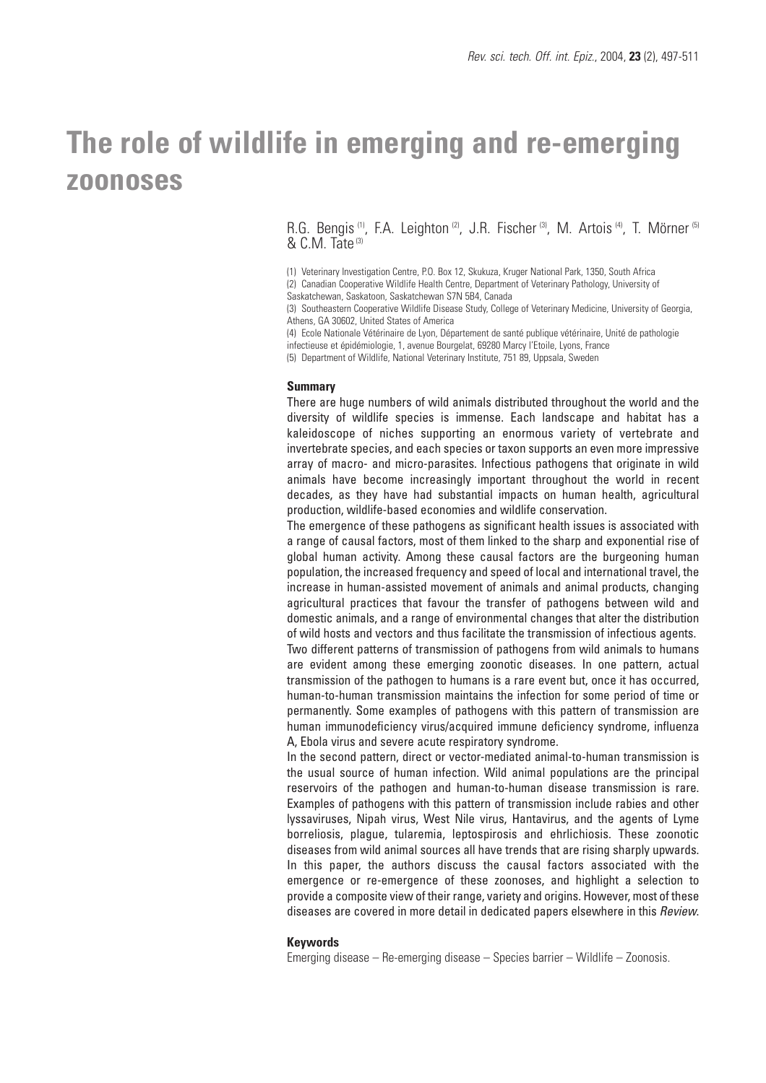# **The role of wildlife in emerging and re-emerging zoonoses**

R.G. Bengis<sup>(1)</sup>, F.A. Leighton<sup>(2)</sup>, J.R. Fischer<sup>(3)</sup>, M. Artois<sup>(4)</sup>, T. Mörner<sup>(5)</sup> & C.M. Tate<sup>(3)</sup>

(1) Veterinary Investigation Centre, P.O. Box 12, Skukuza, Kruger National Park, 1350, South Africa (2) Canadian Cooperative Wildlife Health Centre, Department of Veterinary Pathology, University of Saskatchewan, Saskatoon, Saskatchewan S7N 5B4, Canada

(3) Southeastern Cooperative Wildlife Disease Study, College of Veterinary Medicine, University of Georgia, Athens, GA 30602, United States of America

(4) Ecole Nationale Vétérinaire de Lyon, Département de santé publique vétérinaire, Unité de pathologie infectieuse et épidémiologie, 1, avenue Bourgelat, 69280 Marcy l'Etoile, Lyons, France (5) Department of Wildlife, National Veterinary Institute, 751 89, Uppsala, Sweden

#### **Summary**

There are huge numbers of wild animals distributed throughout the world and the diversity of wildlife species is immense. Each landscape and habitat has a kaleidoscope of niches supporting an enormous variety of vertebrate and invertebrate species, and each species or taxon supports an even more impressive array of macro- and micro-parasites. Infectious pathogens that originate in wild animals have become increasingly important throughout the world in recent decades, as they have had substantial impacts on human health, agricultural production, wildlife-based economies and wildlife conservation.

The emergence of these pathogens as significant health issues is associated with a range of causal factors, most of them linked to the sharp and exponential rise of global human activity. Among these causal factors are the burgeoning human population, the increased frequency and speed of local and international travel, the increase in human-assisted movement of animals and animal products, changing agricultural practices that favour the transfer of pathogens between wild and domestic animals, and a range of environmental changes that alter the distribution of wild hosts and vectors and thus facilitate the transmission of infectious agents.

Two different patterns of transmission of pathogens from wild animals to humans are evident among these emerging zoonotic diseases. In one pattern, actual transmission of the pathogen to humans is a rare event but, once it has occurred, human-to-human transmission maintains the infection for some period of time or permanently. Some examples of pathogens with this pattern of transmission are human immunodeficiency virus/acquired immune deficiency syndrome, influenza A, Ebola virus and severe acute respiratory syndrome.

In the second pattern, direct or vector-mediated animal-to-human transmission is the usual source of human infection. Wild animal populations are the principal reservoirs of the pathogen and human-to-human disease transmission is rare. Examples of pathogens with this pattern of transmission include rabies and other lyssaviruses, Nipah virus, West Nile virus, Hantavirus, and the agents of Lyme borreliosis, plague, tularemia, leptospirosis and ehrlichiosis. These zoonotic diseases from wild animal sources all have trends that are rising sharply upwards. In this paper, the authors discuss the causal factors associated with the emergence or re-emergence of these zoonoses, and highlight a selection to provide a composite view of their range, variety and origins. However, most of these diseases are covered in more detail in dedicated papers elsewhere in this Review.

#### **Keywords**

Emerging disease – Re-emerging disease – Species barrier – Wildlife – Zoonosis.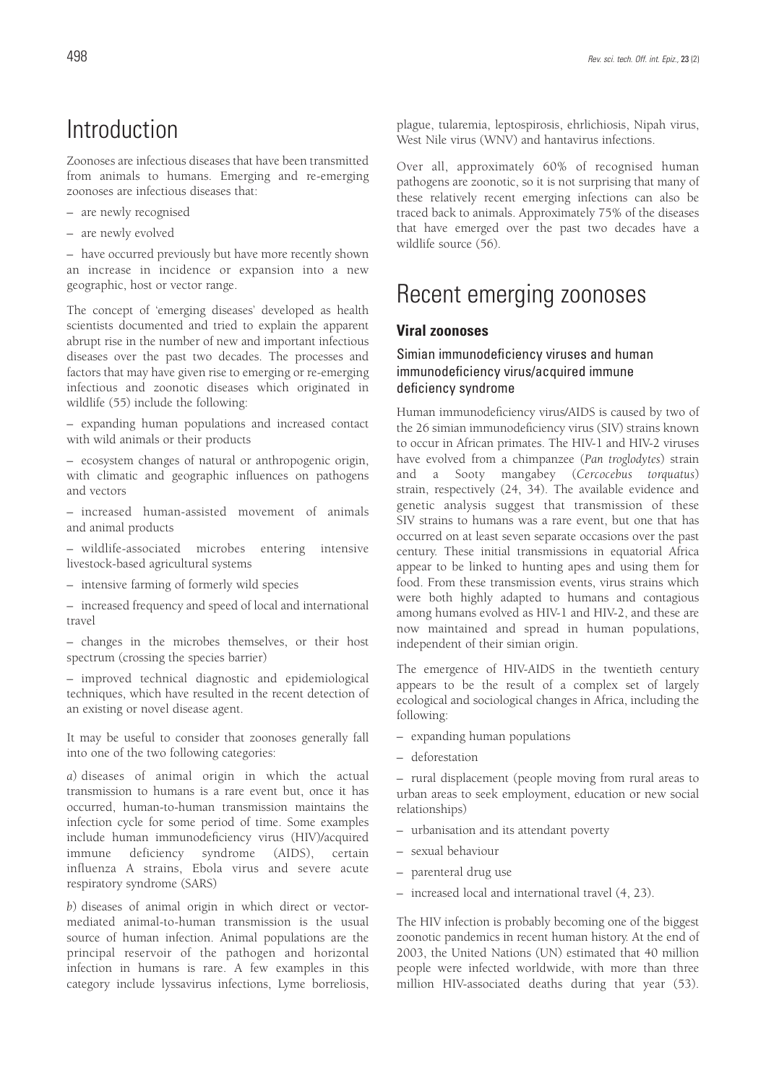## Introduction

Zoonoses are infectious diseases that have been transmitted from animals to humans. Emerging and re-emerging zoonoses are infectious diseases that:

- are newly recognised
- are newly evolved

– have occurred previously but have more recently shown an increase in incidence or expansion into a new geographic, host or vector range.

The concept of 'emerging diseases' developed as health scientists documented and tried to explain the apparent abrupt rise in the number of new and important infectious diseases over the past two decades. The processes and factors that may have given rise to emerging or re-emerging infectious and zoonotic diseases which originated in wildlife (55) include the following:

– expanding human populations and increased contact with wild animals or their products

– ecosystem changes of natural or anthropogenic origin, with climatic and geographic influences on pathogens and vectors

– increased human-assisted movement of animals and animal products

– wildlife-associated microbes entering intensive livestock-based agricultural systems

– intensive farming of formerly wild species

– increased frequency and speed of local and international travel

– changes in the microbes themselves, or their host spectrum (crossing the species barrier)

– improved technical diagnostic and epidemiological techniques, which have resulted in the recent detection of an existing or novel disease agent.

It may be useful to consider that zoonoses generally fall into one of the two following categories:

*a*) diseases of animal origin in which the actual transmission to humans is a rare event but, once it has occurred, human-to-human transmission maintains the infection cycle for some period of time. Some examples include human immunodeficiency virus (HIV)/acquired immune deficiency syndrome (AIDS), certain influenza A strains, Ebola virus and severe acute respiratory syndrome (SARS)

*b*) diseases of animal origin in which direct or vectormediated animal-to-human transmission is the usual source of human infection. Animal populations are the principal reservoir of the pathogen and horizontal infection in humans is rare. A few examples in this category include lyssavirus infections, Lyme borreliosis, plague, tularemia, leptospirosis, ehrlichiosis, Nipah virus, West Nile virus (WNV) and hantavirus infections.

Over all, approximately 60% of recognised human pathogens are zoonotic, so it is not surprising that many of these relatively recent emerging infections can also be traced back to animals. Approximately 75% of the diseases that have emerged over the past two decades have a wildlife source (56).

## Recent emerging zoonoses

## **Viral zoonoses**

### Simian immunodeficiency viruses and human immunodeficiency virus/acquired immune deficiency syndrome

Human immunodeficiency virus/AIDS is caused by two of the 26 simian immunodeficiency virus (SIV) strains known to occur in African primates. The HIV-1 and HIV-2 viruses have evolved from a chimpanzee (*Pan troglodytes*) strain and a Sooty mangabey (*Cercocebus torquatus*) strain, respectively (24, 34). The available evidence and genetic analysis suggest that transmission of these SIV strains to humans was a rare event, but one that has occurred on at least seven separate occasions over the past century. These initial transmissions in equatorial Africa appear to be linked to hunting apes and using them for food. From these transmission events, virus strains which were both highly adapted to humans and contagious among humans evolved as HIV-1 and HIV-2, and these are now maintained and spread in human populations, independent of their simian origin.

The emergence of HIV-AIDS in the twentieth century appears to be the result of a complex set of largely ecological and sociological changes in Africa, including the following:

- expanding human populations
- deforestation

– rural displacement (people moving from rural areas to urban areas to seek employment, education or new social relationships)

- urbanisation and its attendant poverty
- sexual behaviour
- parenteral drug use
- increased local and international travel (4, 23).

The HIV infection is probably becoming one of the biggest zoonotic pandemics in recent human history. At the end of 2003, the United Nations (UN) estimated that 40 million people were infected worldwide, with more than three million HIV-associated deaths during that year (53).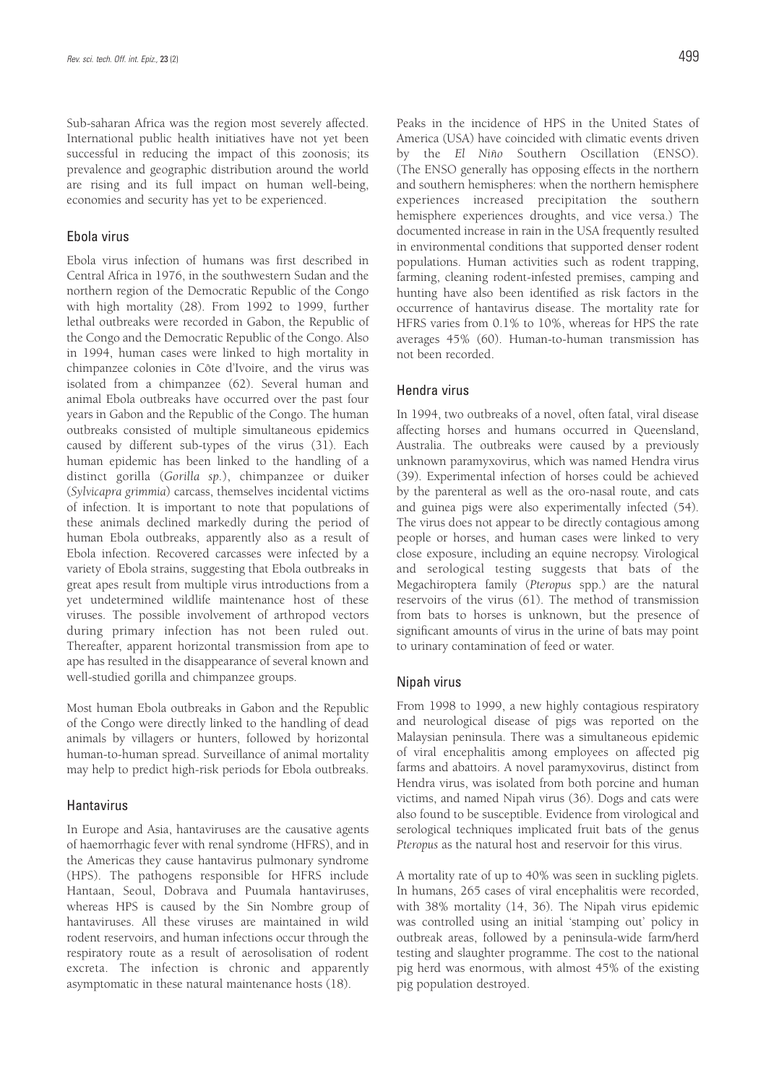Sub-saharan Africa was the region most severely affected. International public health initiatives have not yet been successful in reducing the impact of this zoonosis; its prevalence and geographic distribution around the world are rising and its full impact on human well-being, economies and security has yet to be experienced.

#### Ebola virus

Ebola virus infection of humans was first described in Central Africa in 1976, in the southwestern Sudan and the northern region of the Democratic Republic of the Congo with high mortality (28). From 1992 to 1999, further lethal outbreaks were recorded in Gabon, the Republic of the Congo and the Democratic Republic of the Congo. Also in 1994, human cases were linked to high mortality in chimpanzee colonies in Côte d'Ivoire, and the virus was isolated from a chimpanzee (62). Several human and animal Ebola outbreaks have occurred over the past four years in Gabon and the Republic of the Congo. The human outbreaks consisted of multiple simultaneous epidemics caused by different sub-types of the virus (31). Each human epidemic has been linked to the handling of a distinct gorilla (*Gorilla sp.*), chimpanzee or duiker (*Sylvicapra grimmia*) carcass, themselves incidental victims of infection. It is important to note that populations of these animals declined markedly during the period of human Ebola outbreaks, apparently also as a result of Ebola infection. Recovered carcasses were infected by a variety of Ebola strains, suggesting that Ebola outbreaks in great apes result from multiple virus introductions from a yet undetermined wildlife maintenance host of these viruses. The possible involvement of arthropod vectors during primary infection has not been ruled out. Thereafter, apparent horizontal transmission from ape to ape has resulted in the disappearance of several known and well-studied gorilla and chimpanzee groups.

Most human Ebola outbreaks in Gabon and the Republic of the Congo were directly linked to the handling of dead animals by villagers or hunters, followed by horizontal human-to-human spread. Surveillance of animal mortality may help to predict high-risk periods for Ebola outbreaks.

#### **Hantavirus**

In Europe and Asia, hantaviruses are the causative agents of haemorrhagic fever with renal syndrome (HFRS), and in the Americas they cause hantavirus pulmonary syndrome (HPS). The pathogens responsible for HFRS include Hantaan, Seoul, Dobrava and Puumala hantaviruses, whereas HPS is caused by the Sin Nombre group of hantaviruses. All these viruses are maintained in wild rodent reservoirs, and human infections occur through the respiratory route as a result of aerosolisation of rodent excreta. The infection is chronic and apparently asymptomatic in these natural maintenance hosts (18).

Peaks in the incidence of HPS in the United States of America (USA) have coincided with climatic events driven by the *El Niño* Southern Oscillation (ENSO). (The ENSO generally has opposing effects in the northern and southern hemispheres: when the northern hemisphere experiences increased precipitation the southern hemisphere experiences droughts, and vice versa.) The documented increase in rain in the USA frequently resulted in environmental conditions that supported denser rodent populations. Human activities such as rodent trapping, farming, cleaning rodent-infested premises, camping and hunting have also been identified as risk factors in the occurrence of hantavirus disease. The mortality rate for HFRS varies from 0.1% to 10%, whereas for HPS the rate averages 45% (60). Human-to-human transmission has not been recorded.

#### Hendra virus

In 1994, two outbreaks of a novel, often fatal, viral disease affecting horses and humans occurred in Queensland, Australia. The outbreaks were caused by a previously unknown paramyxovirus, which was named Hendra virus (39). Experimental infection of horses could be achieved by the parenteral as well as the oro-nasal route, and cats and guinea pigs were also experimentally infected (54). The virus does not appear to be directly contagious among people or horses, and human cases were linked to very close exposure, including an equine necropsy. Virological and serological testing suggests that bats of the Megachiroptera family (*Pteropus* spp.) are the natural reservoirs of the virus (61). The method of transmission from bats to horses is unknown, but the presence of significant amounts of virus in the urine of bats may point to urinary contamination of feed or water.

#### Nipah virus

From 1998 to 1999, a new highly contagious respiratory and neurological disease of pigs was reported on the Malaysian peninsula. There was a simultaneous epidemic of viral encephalitis among employees on affected pig farms and abattoirs. A novel paramyxovirus, distinct from Hendra virus, was isolated from both porcine and human victims, and named Nipah virus (36). Dogs and cats were also found to be susceptible. Evidence from virological and serological techniques implicated fruit bats of the genus *Pteropus* as the natural host and reservoir for this virus.

A mortality rate of up to 40% was seen in suckling piglets. In humans, 265 cases of viral encephalitis were recorded, with 38% mortality (14, 36). The Nipah virus epidemic was controlled using an initial 'stamping out' policy in outbreak areas, followed by a peninsula-wide farm/herd testing and slaughter programme. The cost to the national pig herd was enormous, with almost 45% of the existing pig population destroyed.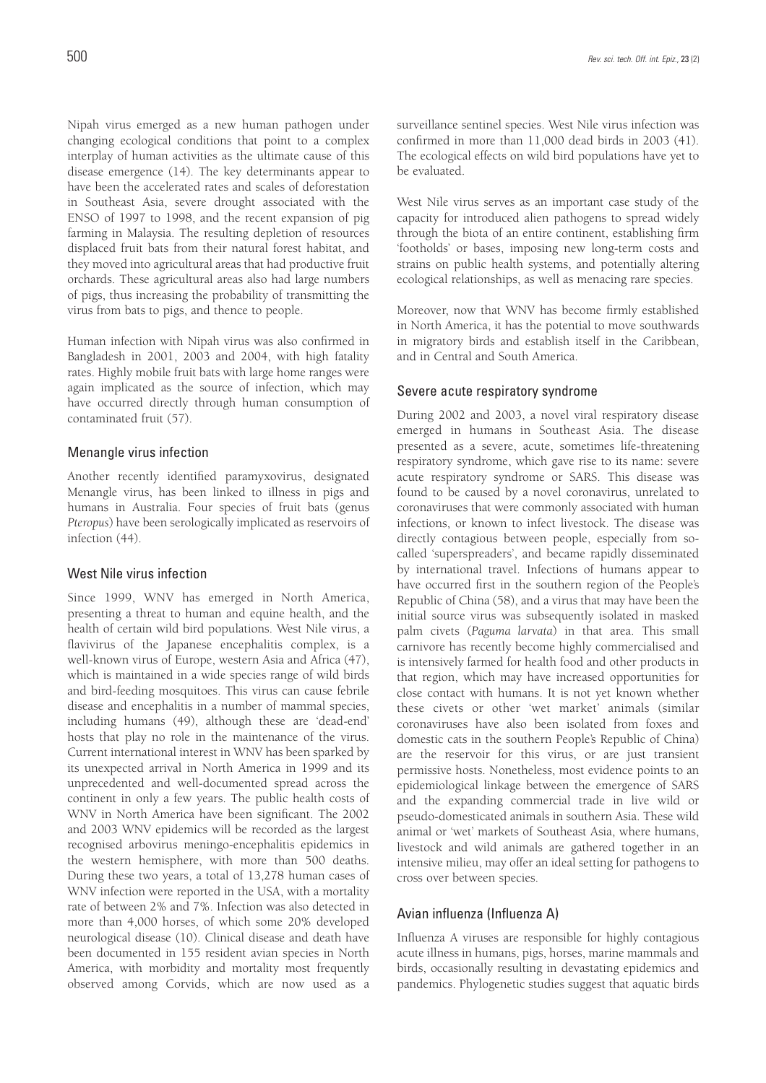Nipah virus emerged as a new human pathogen under changing ecological conditions that point to a complex interplay of human activities as the ultimate cause of this disease emergence (14). The key determinants appear to have been the accelerated rates and scales of deforestation in Southeast Asia, severe drought associated with the ENSO of 1997 to 1998, and the recent expansion of pig farming in Malaysia. The resulting depletion of resources displaced fruit bats from their natural forest habitat, and they moved into agricultural areas that had productive fruit orchards. These agricultural areas also had large numbers of pigs, thus increasing the probability of transmitting the virus from bats to pigs, and thence to people.

Human infection with Nipah virus was also confirmed in Bangladesh in 2001, 2003 and 2004, with high fatality rates. Highly mobile fruit bats with large home ranges were again implicated as the source of infection, which may have occurred directly through human consumption of contaminated fruit (57).

#### Menangle virus infection

Another recently identified paramyxovirus, designated Menangle virus, has been linked to illness in pigs and humans in Australia. Four species of fruit bats (genus *Pteropus*) have been serologically implicated as reservoirs of infection (44).

#### West Nile virus infection

Since 1999, WNV has emerged in North America, presenting a threat to human and equine health, and the health of certain wild bird populations. West Nile virus, a flavivirus of the Japanese encephalitis complex, is a well-known virus of Europe, western Asia and Africa (47), which is maintained in a wide species range of wild birds and bird-feeding mosquitoes. This virus can cause febrile disease and encephalitis in a number of mammal species, including humans (49), although these are 'dead-end' hosts that play no role in the maintenance of the virus. Current international interest in WNV has been sparked by its unexpected arrival in North America in 1999 and its unprecedented and well-documented spread across the continent in only a few years. The public health costs of WNV in North America have been significant. The 2002 and 2003 WNV epidemics will be recorded as the largest recognised arbovirus meningo-encephalitis epidemics in the western hemisphere, with more than 500 deaths. During these two years, a total of 13,278 human cases of WNV infection were reported in the USA, with a mortality rate of between 2% and 7%. Infection was also detected in more than 4,000 horses, of which some 20% developed neurological disease (10). Clinical disease and death have been documented in 155 resident avian species in North America, with morbidity and mortality most frequently observed among Corvids, which are now used as a surveillance sentinel species. West Nile virus infection was confirmed in more than 11,000 dead birds in 2003 (41). The ecological effects on wild bird populations have yet to be evaluated.

West Nile virus serves as an important case study of the capacity for introduced alien pathogens to spread widely through the biota of an entire continent, establishing firm 'footholds' or bases, imposing new long-term costs and strains on public health systems, and potentially altering ecological relationships, as well as menacing rare species.

Moreover, now that WNV has become firmly established in North America, it has the potential to move southwards in migratory birds and establish itself in the Caribbean, and in Central and South America.

#### Severe acute respiratory syndrome

During 2002 and 2003, a novel viral respiratory disease emerged in humans in Southeast Asia. The disease presented as a severe, acute, sometimes life-threatening respiratory syndrome, which gave rise to its name: severe acute respiratory syndrome or SARS. This disease was found to be caused by a novel coronavirus, unrelated to coronaviruses that were commonly associated with human infections, or known to infect livestock. The disease was directly contagious between people, especially from socalled 'superspreaders', and became rapidly disseminated by international travel. Infections of humans appear to have occurred first in the southern region of the People's Republic of China (58), and a virus that may have been the initial source virus was subsequently isolated in masked palm civets (*Paguma larvata*) in that area. This small carnivore has recently become highly commercialised and is intensively farmed for health food and other products in that region, which may have increased opportunities for close contact with humans. It is not yet known whether these civets or other 'wet market' animals (similar coronaviruses have also been isolated from foxes and domestic cats in the southern People's Republic of China) are the reservoir for this virus, or are just transient permissive hosts. Nonetheless, most evidence points to an epidemiological linkage between the emergence of SARS and the expanding commercial trade in live wild or pseudo-domesticated animals in southern Asia. These wild animal or 'wet' markets of Southeast Asia, where humans, livestock and wild animals are gathered together in an intensive milieu, may offer an ideal setting for pathogens to cross over between species.

#### Avian influenza (Influenza A)

Influenza A viruses are responsible for highly contagious acute illness in humans, pigs, horses, marine mammals and birds, occasionally resulting in devastating epidemics and pandemics. Phylogenetic studies suggest that aquatic birds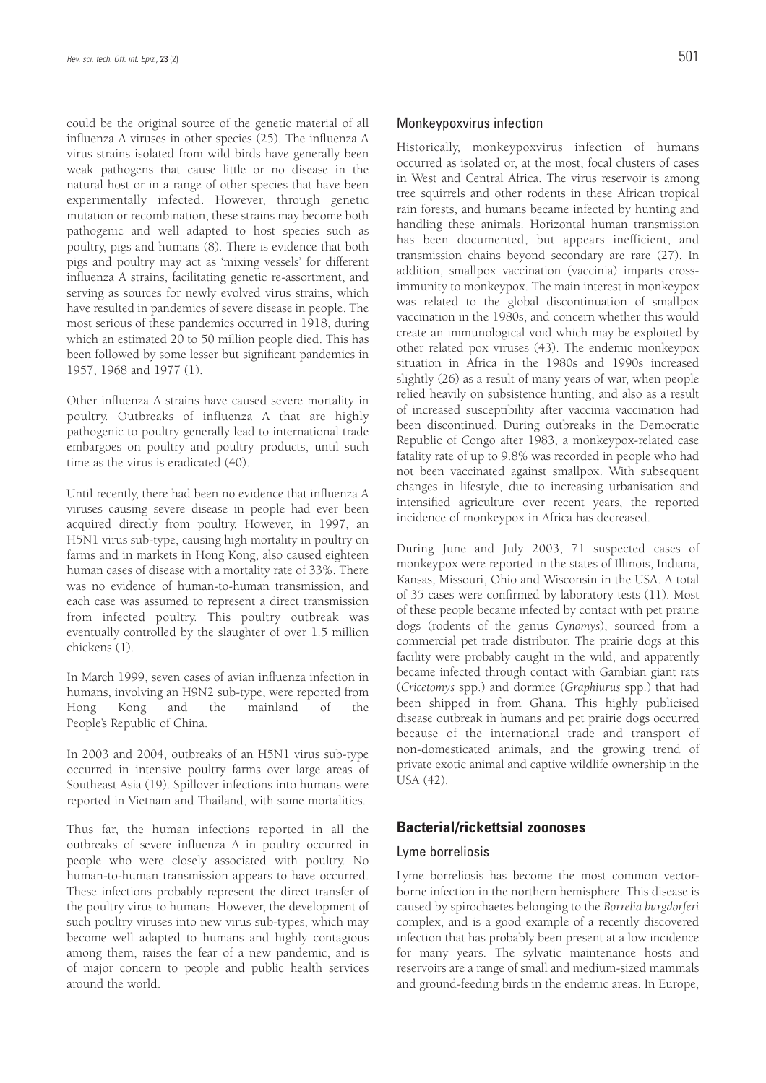could be the original source of the genetic material of all influenza A viruses in other species (25). The influenza A virus strains isolated from wild birds have generally been weak pathogens that cause little or no disease in the natural host or in a range of other species that have been experimentally infected. However, through genetic mutation or recombination, these strains may become both pathogenic and well adapted to host species such as poultry, pigs and humans (8). There is evidence that both pigs and poultry may act as 'mixing vessels' for different influenza A strains, facilitating genetic re-assortment, and serving as sources for newly evolved virus strains, which have resulted in pandemics of severe disease in people. The most serious of these pandemics occurred in 1918, during which an estimated 20 to 50 million people died. This has been followed by some lesser but significant pandemics in 1957, 1968 and 1977 (1).

Other influenza A strains have caused severe mortality in poultry. Outbreaks of influenza A that are highly pathogenic to poultry generally lead to international trade embargoes on poultry and poultry products, until such time as the virus is eradicated (40).

Until recently, there had been no evidence that influenza A viruses causing severe disease in people had ever been acquired directly from poultry. However, in 1997, an H5N1 virus sub-type, causing high mortality in poultry on farms and in markets in Hong Kong, also caused eighteen human cases of disease with a mortality rate of 33%. There was no evidence of human-to-human transmission, and each case was assumed to represent a direct transmission from infected poultry. This poultry outbreak was eventually controlled by the slaughter of over 1.5 million chickens (1).

In March 1999, seven cases of avian influenza infection in humans, involving an H9N2 sub-type, were reported from Hong Kong and the mainland of the People's Republic of China.

In 2003 and 2004, outbreaks of an H5N1 virus sub-type occurred in intensive poultry farms over large areas of Southeast Asia (19). Spillover infections into humans were reported in Vietnam and Thailand, with some mortalities.

Thus far, the human infections reported in all the outbreaks of severe influenza A in poultry occurred in people who were closely associated with poultry. No human-to-human transmission appears to have occurred. These infections probably represent the direct transfer of the poultry virus to humans. However, the development of such poultry viruses into new virus sub-types, which may become well adapted to humans and highly contagious among them, raises the fear of a new pandemic, and is of major concern to people and public health services around the world.

#### Monkeypoxvirus infection

Historically, monkeypoxvirus infection of humans occurred as isolated or, at the most, focal clusters of cases in West and Central Africa. The virus reservoir is among tree squirrels and other rodents in these African tropical rain forests, and humans became infected by hunting and handling these animals. Horizontal human transmission has been documented, but appears inefficient, and transmission chains beyond secondary are rare (27). In addition, smallpox vaccination (vaccinia) imparts crossimmunity to monkeypox. The main interest in monkeypox was related to the global discontinuation of smallpox vaccination in the 1980s, and concern whether this would create an immunological void which may be exploited by other related pox viruses (43). The endemic monkeypox situation in Africa in the 1980s and 1990s increased slightly (26) as a result of many years of war, when people relied heavily on subsistence hunting, and also as a result of increased susceptibility after vaccinia vaccination had been discontinued. During outbreaks in the Democratic Republic of Congo after 1983, a monkeypox-related case fatality rate of up to 9.8% was recorded in people who had not been vaccinated against smallpox. With subsequent changes in lifestyle, due to increasing urbanisation and intensified agriculture over recent years, the reported incidence of monkeypox in Africa has decreased.

During June and July 2003, 71 suspected cases of monkeypox were reported in the states of Illinois, Indiana, Kansas, Missouri, Ohio and Wisconsin in the USA. A total of 35 cases were confirmed by laboratory tests (11). Most of these people became infected by contact with pet prairie dogs (rodents of the genus *Cynomys*), sourced from a commercial pet trade distributor. The prairie dogs at this facility were probably caught in the wild, and apparently became infected through contact with Gambian giant rats (*Cricetomys* spp.) and dormice (*Graphiurus* spp.) that had been shipped in from Ghana. This highly publicised disease outbreak in humans and pet prairie dogs occurred because of the international trade and transport of non-domesticated animals, and the growing trend of private exotic animal and captive wildlife ownership in the USA (42).

### **Bacterial/rickettsial zoonoses**

#### Lyme borreliosis

Lyme borreliosis has become the most common vectorborne infection in the northern hemisphere. This disease is caused by spirochaetes belonging to the *Borrelia burgdorferi* complex, and is a good example of a recently discovered infection that has probably been present at a low incidence for many years. The sylvatic maintenance hosts and reservoirs are a range of small and medium-sized mammals and ground-feeding birds in the endemic areas. In Europe,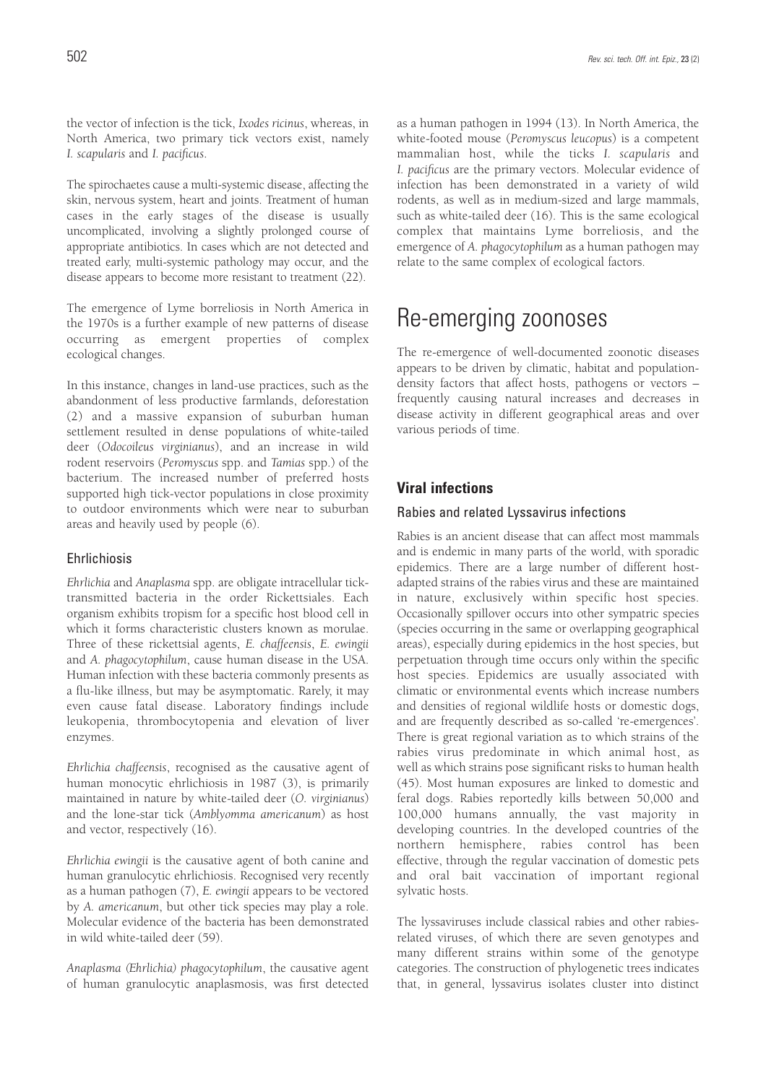the vector of infection is the tick, *Ixodes ricinus*, whereas, in North America, two primary tick vectors exist, namely *I. scapularis* and *I. pacificus*.

The spirochaetes cause a multi-systemic disease, affecting the skin, nervous system, heart and joints. Treatment of human cases in the early stages of the disease is usually uncomplicated, involving a slightly prolonged course of appropriate antibiotics. In cases which are not detected and treated early, multi-systemic pathology may occur, and the disease appears to become more resistant to treatment (22).

The emergence of Lyme borreliosis in North America in the 1970s is a further example of new patterns of disease occurring as emergent properties of complex ecological changes.

In this instance, changes in land-use practices, such as the abandonment of less productive farmlands, deforestation (2) and a massive expansion of suburban human settlement resulted in dense populations of white-tailed deer (*Odocoileus virginianus*), and an increase in wild rodent reservoirs (*Peromyscus* spp. and *Tamias* spp.) of the bacterium. The increased number of preferred hosts supported high tick-vector populations in close proximity to outdoor environments which were near to suburban areas and heavily used by people (6).

#### Ehrlichiosis

*Ehrlichia* and *Anaplasma* spp. are obligate intracellular ticktransmitted bacteria in the order Rickettsiales. Each organism exhibits tropism for a specific host blood cell in which it forms characteristic clusters known as morulae. Three of these rickettsial agents, *E. chaffeensis*, *E. ewingii* and *A. phagocytophilum*, cause human disease in the USA. Human infection with these bacteria commonly presents as a flu-like illness, but may be asymptomatic. Rarely, it may even cause fatal disease. Laboratory findings include leukopenia, thrombocytopenia and elevation of liver enzymes.

*Ehrlichia chaffeensis*, recognised as the causative agent of human monocytic ehrlichiosis in 1987 (3), is primarily maintained in nature by white-tailed deer (*O. virginianus*) and the lone-star tick (*Amblyomma americanum*) as host and vector, respectively (16).

*Ehrlichia ewingii* is the causative agent of both canine and human granulocytic ehrlichiosis. Recognised very recently as a human pathogen (7), *E. ewingii* appears to be vectored by *A. americanum*, but other tick species may play a role. Molecular evidence of the bacteria has been demonstrated in wild white-tailed deer (59).

*Anaplasma (Ehrlichia) phagocytophilum*, the causative agent of human granulocytic anaplasmosis, was first detected as a human pathogen in 1994 (13). In North America, the white-footed mouse (*Peromyscus leucopus*) is a competent mammalian host, while the ticks *I. scapularis* and *I. pacificus* are the primary vectors. Molecular evidence of infection has been demonstrated in a variety of wild rodents, as well as in medium-sized and large mammals, such as white-tailed deer (16). This is the same ecological complex that maintains Lyme borreliosis, and the emergence of *A. phagocytophilum* as a human pathogen may relate to the same complex of ecological factors.

## Re-emerging zoonoses

The re-emergence of well-documented zoonotic diseases appears to be driven by climatic, habitat and populationdensity factors that affect hosts, pathogens or vectors – frequently causing natural increases and decreases in disease activity in different geographical areas and over various periods of time.

### **Viral infections**

#### Rabies and related Lyssavirus infections

Rabies is an ancient disease that can affect most mammals and is endemic in many parts of the world, with sporadic epidemics. There are a large number of different hostadapted strains of the rabies virus and these are maintained in nature, exclusively within specific host species. Occasionally spillover occurs into other sympatric species (species occurring in the same or overlapping geographical areas), especially during epidemics in the host species, but perpetuation through time occurs only within the specific host species. Epidemics are usually associated with climatic or environmental events which increase numbers and densities of regional wildlife hosts or domestic dogs, and are frequently described as so-called 're-emergences'. There is great regional variation as to which strains of the rabies virus predominate in which animal host, as well as which strains pose significant risks to human health (45). Most human exposures are linked to domestic and feral dogs. Rabies reportedly kills between 50,000 and 100,000 humans annually, the vast majority in developing countries. In the developed countries of the northern hemisphere, rabies control has been effective, through the regular vaccination of domestic pets and oral bait vaccination of important regional sylvatic hosts.

The lyssaviruses include classical rabies and other rabiesrelated viruses, of which there are seven genotypes and many different strains within some of the genotype categories. The construction of phylogenetic trees indicates that, in general, lyssavirus isolates cluster into distinct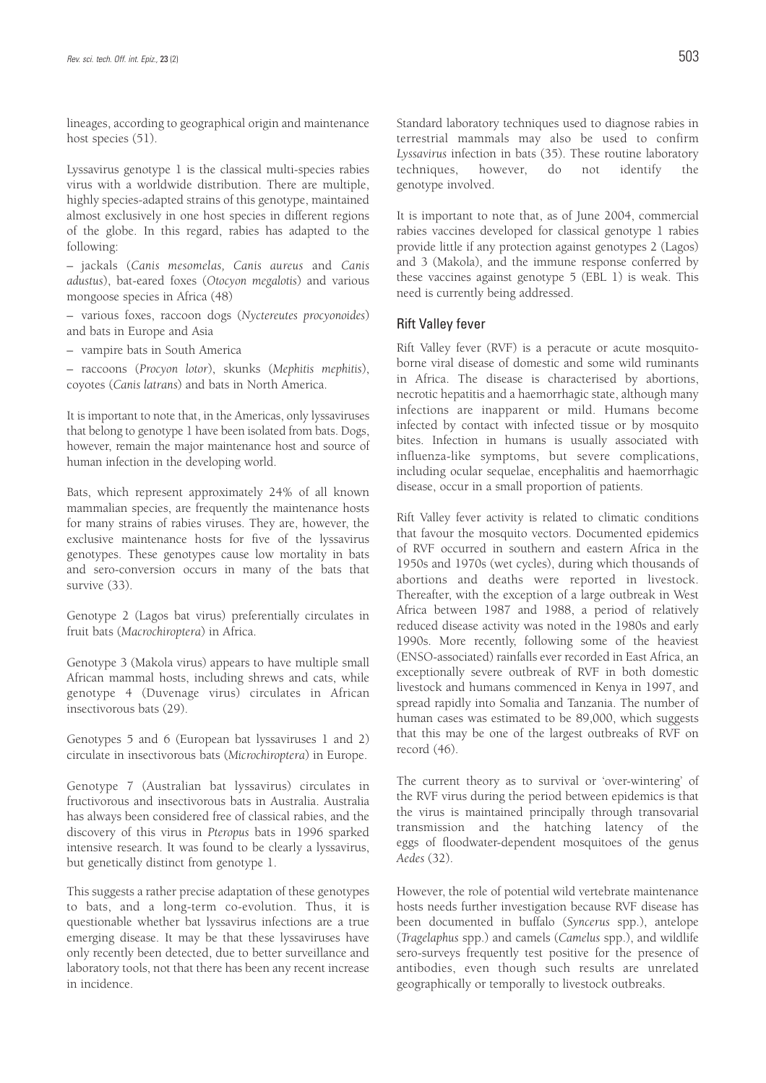lineages, according to geographical origin and maintenance host species (51).

Lyssavirus genotype 1 is the classical multi-species rabies virus with a worldwide distribution. There are multiple, highly species-adapted strains of this genotype, maintained almost exclusively in one host species in different regions of the globe. In this regard, rabies has adapted to the following:

– jackals (*Canis mesomelas, Canis aureus* and *Canis adustus*), bat-eared foxes (*Otocyon megalotis*) and various mongoose species in Africa (48)

– various foxes, raccoon dogs (*Nyctereutes procyonoides*) and bats in Europe and Asia

– vampire bats in South America

– raccoons (*Procyon lotor*), skunks (*Mephitis mephitis*), coyotes (*Canis latrans*) and bats in North America.

It is important to note that, in the Americas, only lyssaviruses that belong to genotype 1 have been isolated from bats. Dogs, however, remain the major maintenance host and source of human infection in the developing world.

Bats, which represent approximately 24% of all known mammalian species, are frequently the maintenance hosts for many strains of rabies viruses. They are, however, the exclusive maintenance hosts for five of the lyssavirus genotypes. These genotypes cause low mortality in bats and sero-conversion occurs in many of the bats that survive (33).

Genotype 2 (Lagos bat virus) preferentially circulates in fruit bats (*Macrochiroptera*) in Africa.

Genotype 3 (Makola virus) appears to have multiple small African mammal hosts, including shrews and cats, while genotype 4 (Duvenage virus) circulates in African insectivorous bats (29).

Genotypes 5 and 6 (European bat lyssaviruses 1 and 2) circulate in insectivorous bats (*Microchiroptera*) in Europe.

Genotype 7 (Australian bat lyssavirus) circulates in fructivorous and insectivorous bats in Australia. Australia has always been considered free of classical rabies, and the discovery of this virus in *Pteropus* bats in 1996 sparked intensive research. It was found to be clearly a lyssavirus, but genetically distinct from genotype 1.

This suggests a rather precise adaptation of these genotypes to bats, and a long-term co-evolution. Thus, it is questionable whether bat lyssavirus infections are a true emerging disease. It may be that these lyssaviruses have only recently been detected, due to better surveillance and laboratory tools, not that there has been any recent increase in incidence.

Standard laboratory techniques used to diagnose rabies in terrestrial mammals may also be used to confirm *Lyssavirus* infection in bats (35). These routine laboratory techniques, however, do not identify the genotype involved.

It is important to note that, as of June 2004, commercial rabies vaccines developed for classical genotype 1 rabies provide little if any protection against genotypes 2 (Lagos) and 3 (Makola), and the immune response conferred by these vaccines against genotype 5 (EBL 1) is weak. This need is currently being addressed.

#### Rift Valley fever

Rift Valley fever (RVF) is a peracute or acute mosquitoborne viral disease of domestic and some wild ruminants in Africa. The disease is characterised by abortions, necrotic hepatitis and a haemorrhagic state, although many infections are inapparent or mild. Humans become infected by contact with infected tissue or by mosquito bites. Infection in humans is usually associated with influenza-like symptoms, but severe complications, including ocular sequelae, encephalitis and haemorrhagic disease, occur in a small proportion of patients.

Rift Valley fever activity is related to climatic conditions that favour the mosquito vectors. Documented epidemics of RVF occurred in southern and eastern Africa in the 1950s and 1970s (wet cycles), during which thousands of abortions and deaths were reported in livestock. Thereafter, with the exception of a large outbreak in West Africa between 1987 and 1988, a period of relatively reduced disease activity was noted in the 1980s and early 1990s. More recently, following some of the heaviest (ENSO-associated) rainfalls ever recorded in East Africa, an exceptionally severe outbreak of RVF in both domestic livestock and humans commenced in Kenya in 1997, and spread rapidly into Somalia and Tanzania. The number of human cases was estimated to be 89,000, which suggests that this may be one of the largest outbreaks of RVF on record (46).

The current theory as to survival or 'over-wintering' of the RVF virus during the period between epidemics is that the virus is maintained principally through transovarial transmission and the hatching latency of the eggs of floodwater-dependent mosquitoes of the genus *Aedes* (32).

However, the role of potential wild vertebrate maintenance hosts needs further investigation because RVF disease has been documented in buffalo (*Syncerus* spp.), antelope (*Tragelaphus* spp.) and camels (*Camelus* spp.), and wildlife sero-surveys frequently test positive for the presence of antibodies, even though such results are unrelated geographically or temporally to livestock outbreaks.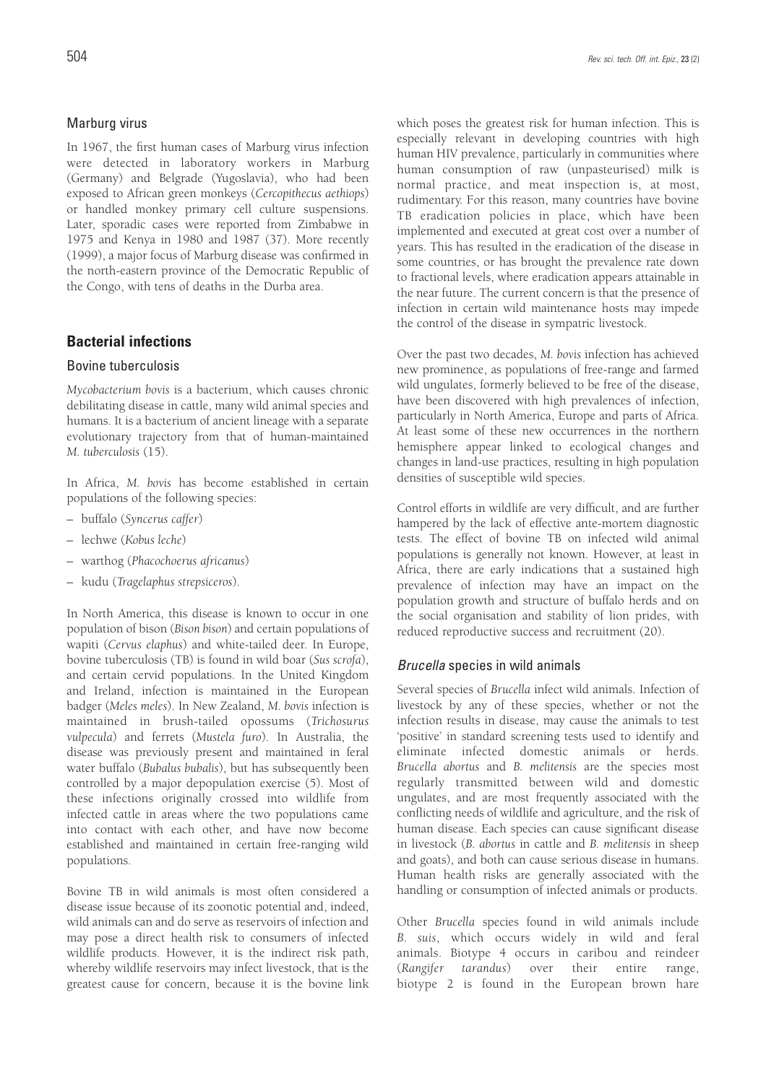### Marburg virus

In 1967, the first human cases of Marburg virus infection were detected in laboratory workers in Marburg (Germany) and Belgrade (Yugoslavia), who had been exposed to African green monkeys (*Cercopithecus aethiops*) or handled monkey primary cell culture suspensions. Later, sporadic cases were reported from Zimbabwe in 1975 and Kenya in 1980 and 1987 (37). More recently (1999), a major focus of Marburg disease was confirmed in the north-eastern province of the Democratic Republic of the Congo, with tens of deaths in the Durba area.

## **Bacterial infections**

### Bovine tuberculosis

*Mycobacterium bovis* is a bacterium, which causes chronic debilitating disease in cattle, many wild animal species and humans. It is a bacterium of ancient lineage with a separate evolutionary trajectory from that of human-maintained *M. tuberculosis* (15).

In Africa, *M. bovis* has become established in certain populations of the following species:

- buffalo (*Syncerus caffer*)
- lechwe (*Kobus leche*)
- warthog (*Phacochoerus africanus*)
- kudu (*Tragelaphus strepsiceros*).

In North America, this disease is known to occur in one population of bison (*Bison bison*) and certain populations of wapiti (*Cervus elaphus*) and white-tailed deer. In Europe, bovine tuberculosis (TB) is found in wild boar (*Sus scrofa*), and certain cervid populations. In the United Kingdom and Ireland, infection is maintained in the European badger (*Meles meles*). In New Zealand, *M. bovis* infection is maintained in brush-tailed opossums (*Trichosurus vulpecula*) and ferrets (*Mustela furo*). In Australia, the disease was previously present and maintained in feral water buffalo (*Bubalus bubalis*), but has subsequently been controlled by a major depopulation exercise (5). Most of these infections originally crossed into wildlife from infected cattle in areas where the two populations came into contact with each other, and have now become established and maintained in certain free-ranging wild populations.

Bovine TB in wild animals is most often considered a disease issue because of its zoonotic potential and, indeed, wild animals can and do serve as reservoirs of infection and may pose a direct health risk to consumers of infected wildlife products. However, it is the indirect risk path, whereby wildlife reservoirs may infect livestock, that is the greatest cause for concern, because it is the bovine link

which poses the greatest risk for human infection. This is especially relevant in developing countries with high human HIV prevalence, particularly in communities where human consumption of raw (unpasteurised) milk is normal practice, and meat inspection is, at most, rudimentary. For this reason, many countries have bovine TB eradication policies in place, which have been implemented and executed at great cost over a number of years. This has resulted in the eradication of the disease in some countries, or has brought the prevalence rate down to fractional levels, where eradication appears attainable in the near future. The current concern is that the presence of infection in certain wild maintenance hosts may impede the control of the disease in sympatric livestock.

Over the past two decades, *M. bovis* infection has achieved new prominence, as populations of free-range and farmed wild ungulates, formerly believed to be free of the disease, have been discovered with high prevalences of infection, particularly in North America, Europe and parts of Africa. At least some of these new occurrences in the northern hemisphere appear linked to ecological changes and changes in land-use practices, resulting in high population densities of susceptible wild species.

Control efforts in wildlife are very difficult, and are further hampered by the lack of effective ante-mortem diagnostic tests. The effect of bovine TB on infected wild animal populations is generally not known. However, at least in Africa, there are early indications that a sustained high prevalence of infection may have an impact on the population growth and structure of buffalo herds and on the social organisation and stability of lion prides, with reduced reproductive success and recruitment (20).

### Brucella species in wild animals

Several species of *Brucella* infect wild animals. Infection of livestock by any of these species, whether or not the infection results in disease, may cause the animals to test 'positive' in standard screening tests used to identify and eliminate infected domestic animals or herds. *Brucella abortus* and *B. melitensis* are the species most regularly transmitted between wild and domestic ungulates, and are most frequently associated with the conflicting needs of wildlife and agriculture, and the risk of human disease. Each species can cause significant disease in livestock (*B. abortus* in cattle and *B. melitensis* in sheep and goats), and both can cause serious disease in humans. Human health risks are generally associated with the handling or consumption of infected animals or products.

Other *Brucella* species found in wild animals include *B. suis*, which occurs widely in wild and feral animals. Biotype 4 occurs in caribou and reindeer (*Rangifer tarandus*) over their entire range, biotype 2 is found in the European brown hare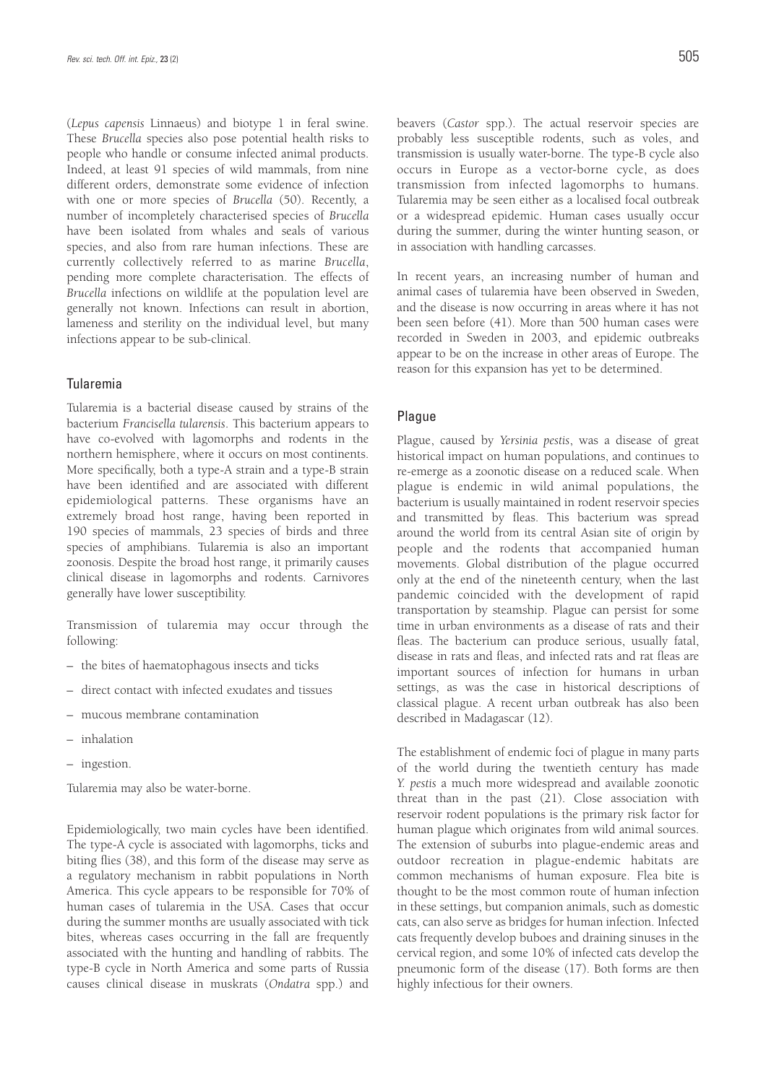(*Lepus capensis* Linnaeus) and biotype 1 in feral swine. These *Brucella* species also pose potential health risks to people who handle or consume infected animal products. Indeed, at least 91 species of wild mammals, from nine different orders, demonstrate some evidence of infection with one or more species of *Brucella* (50). Recently, a number of incompletely characterised species of *Brucella* have been isolated from whales and seals of various species, and also from rare human infections. These are currently collectively referred to as marine *Brucella*, pending more complete characterisation. The effects of *Brucella* infections on wildlife at the population level are generally not known. Infections can result in abortion, lameness and sterility on the individual level, but many infections appear to be sub-clinical.

#### Tularemia

Tularemia is a bacterial disease caused by strains of the bacterium *Francisella tularensis*. This bacterium appears to have co-evolved with lagomorphs and rodents in the northern hemisphere, where it occurs on most continents. More specifically, both a type-A strain and a type-B strain have been identified and are associated with different epidemiological patterns. These organisms have an extremely broad host range, having been reported in 190 species of mammals, 23 species of birds and three species of amphibians. Tularemia is also an important zoonosis. Despite the broad host range, it primarily causes clinical disease in lagomorphs and rodents. Carnivores generally have lower susceptibility.

Transmission of tularemia may occur through the following:

- the bites of haematophagous insects and ticks
- direct contact with infected exudates and tissues
- mucous membrane contamination
- inhalation
- ingestion.

Tularemia may also be water-borne.

Epidemiologically, two main cycles have been identified. The type-A cycle is associated with lagomorphs, ticks and biting flies (38), and this form of the disease may serve as a regulatory mechanism in rabbit populations in North America. This cycle appears to be responsible for 70% of human cases of tularemia in the USA. Cases that occur during the summer months are usually associated with tick bites, whereas cases occurring in the fall are frequently associated with the hunting and handling of rabbits. The type-B cycle in North America and some parts of Russia causes clinical disease in muskrats (*Ondatra* spp.) and beavers (*Castor* spp.). The actual reservoir species are probably less susceptible rodents, such as voles, and transmission is usually water-borne. The type-B cycle also occurs in Europe as a vector-borne cycle, as does transmission from infected lagomorphs to humans. Tularemia may be seen either as a localised focal outbreak or a widespread epidemic. Human cases usually occur during the summer, during the winter hunting season, or in association with handling carcasses.

In recent years, an increasing number of human and animal cases of tularemia have been observed in Sweden, and the disease is now occurring in areas where it has not been seen before (41). More than 500 human cases were recorded in Sweden in 2003, and epidemic outbreaks appear to be on the increase in other areas of Europe. The reason for this expansion has yet to be determined.

#### Plague

Plague, caused by *Yersinia pestis*, was a disease of great historical impact on human populations, and continues to re-emerge as a zoonotic disease on a reduced scale. When plague is endemic in wild animal populations, the bacterium is usually maintained in rodent reservoir species and transmitted by fleas. This bacterium was spread around the world from its central Asian site of origin by people and the rodents that accompanied human movements. Global distribution of the plague occurred only at the end of the nineteenth century, when the last pandemic coincided with the development of rapid transportation by steamship. Plague can persist for some time in urban environments as a disease of rats and their fleas. The bacterium can produce serious, usually fatal, disease in rats and fleas, and infected rats and rat fleas are important sources of infection for humans in urban settings, as was the case in historical descriptions of classical plague. A recent urban outbreak has also been described in Madagascar (12).

The establishment of endemic foci of plague in many parts of the world during the twentieth century has made *Y. pestis* a much more widespread and available zoonotic threat than in the past (21). Close association with reservoir rodent populations is the primary risk factor for human plague which originates from wild animal sources. The extension of suburbs into plague-endemic areas and outdoor recreation in plague-endemic habitats are common mechanisms of human exposure. Flea bite is thought to be the most common route of human infection in these settings, but companion animals, such as domestic cats, can also serve as bridges for human infection. Infected cats frequently develop buboes and draining sinuses in the cervical region, and some 10% of infected cats develop the pneumonic form of the disease (17). Both forms are then highly infectious for their owners.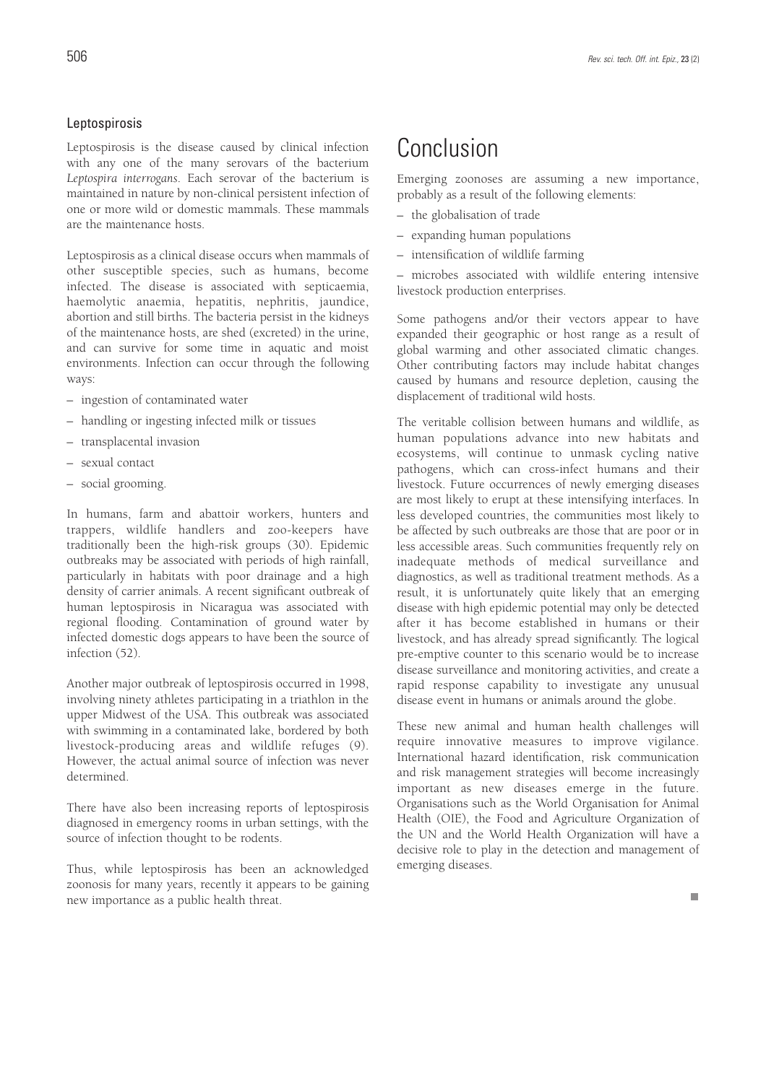#### Leptospirosis

Leptospirosis is the disease caused by clinical infection with any one of the many serovars of the bacterium *Leptospira interrogans*. Each serovar of the bacterium is maintained in nature by non-clinical persistent infection of one or more wild or domestic mammals. These mammals are the maintenance hosts.

Leptospirosis as a clinical disease occurs when mammals of other susceptible species, such as humans, become infected. The disease is associated with septicaemia, haemolytic anaemia, hepatitis, nephritis, jaundice, abortion and still births. The bacteria persist in the kidneys of the maintenance hosts, are shed (excreted) in the urine, and can survive for some time in aquatic and moist environments. Infection can occur through the following ways:

- ingestion of contaminated water
- handling or ingesting infected milk or tissues
- transplacental invasion
- sexual contact
- social grooming.

In humans, farm and abattoir workers, hunters and trappers, wildlife handlers and zoo-keepers have traditionally been the high-risk groups (30). Epidemic outbreaks may be associated with periods of high rainfall, particularly in habitats with poor drainage and a high density of carrier animals. A recent significant outbreak of human leptospirosis in Nicaragua was associated with regional flooding. Contamination of ground water by infected domestic dogs appears to have been the source of infection (52).

Another major outbreak of leptospirosis occurred in 1998, involving ninety athletes participating in a triathlon in the upper Midwest of the USA. This outbreak was associated with swimming in a contaminated lake, bordered by both livestock-producing areas and wildlife refuges (9). However, the actual animal source of infection was never determined.

There have also been increasing reports of leptospirosis diagnosed in emergency rooms in urban settings, with the source of infection thought to be rodents.

Thus, while leptospirosis has been an acknowledged zoonosis for many years, recently it appears to be gaining new importance as a public health threat.

## Conclusion

Emerging zoonoses are assuming a new importance, probably as a result of the following elements:

- the globalisation of trade
- expanding human populations
- intensification of wildlife farming

– microbes associated with wildlife entering intensive livestock production enterprises.

Some pathogens and/or their vectors appear to have expanded their geographic or host range as a result of global warming and other associated climatic changes. Other contributing factors may include habitat changes caused by humans and resource depletion, causing the displacement of traditional wild hosts.

The veritable collision between humans and wildlife, as human populations advance into new habitats and ecosystems, will continue to unmask cycling native pathogens, which can cross-infect humans and their livestock. Future occurrences of newly emerging diseases are most likely to erupt at these intensifying interfaces. In less developed countries, the communities most likely to be affected by such outbreaks are those that are poor or in less accessible areas. Such communities frequently rely on inadequate methods of medical surveillance and diagnostics, as well as traditional treatment methods. As a result, it is unfortunately quite likely that an emerging disease with high epidemic potential may only be detected after it has become established in humans or their livestock, and has already spread significantly. The logical pre-emptive counter to this scenario would be to increase disease surveillance and monitoring activities, and create a rapid response capability to investigate any unusual disease event in humans or animals around the globe.

These new animal and human health challenges will require innovative measures to improve vigilance. International hazard identification, risk communication and risk management strategies will become increasingly important as new diseases emerge in the future. Organisations such as the World Organisation for Animal Health (OIE), the Food and Agriculture Organization of the UN and the World Health Organization will have a decisive role to play in the detection and management of emerging diseases.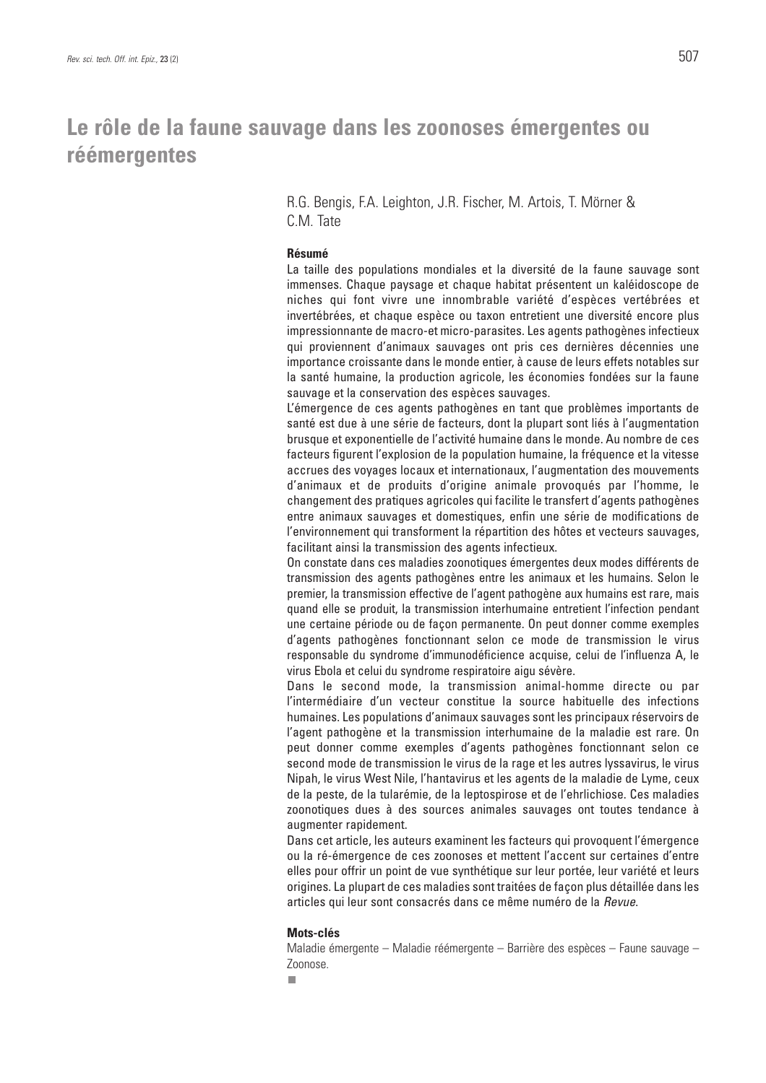## **Le rôle de la faune sauvage dans les zoonoses émergentes ou réémergentes**

### R.G. Bengis, F.A. Leighton, J.R. Fischer, M. Artois, T. Mörner & C.M. Tate

#### **Résumé**

La taille des populations mondiales et la diversité de la faune sauvage sont immenses. Chaque paysage et chaque habitat présentent un kaléidoscope de niches qui font vivre une innombrable variété d'espèces vertébrées et invertébrées, et chaque espèce ou taxon entretient une diversité encore plus impressionnante de macro-et micro-parasites. Les agents pathogènes infectieux qui proviennent d'animaux sauvages ont pris ces dernières décennies une importance croissante dans le monde entier, à cause de leurs effets notables sur la santé humaine, la production agricole, les économies fondées sur la faune sauvage et la conservation des espèces sauvages.

L'émergence de ces agents pathogènes en tant que problèmes importants de santé est due à une série de facteurs, dont la plupart sont liés à l'augmentation brusque et exponentielle de l'activité humaine dans le monde. Au nombre de ces facteurs figurent l'explosion de la population humaine, la fréquence et la vitesse accrues des voyages locaux et internationaux, l'augmentation des mouvements d'animaux et de produits d'origine animale provoqués par l'homme, le changement des pratiques agricoles qui facilite le transfert d'agents pathogènes entre animaux sauvages et domestiques, enfin une série de modifications de l'environnement qui transforment la répartition des hôtes et vecteurs sauvages, facilitant ainsi la transmission des agents infectieux.

On constate dans ces maladies zoonotiques émergentes deux modes différents de transmission des agents pathogènes entre les animaux et les humains. Selon le premier, la transmission effective de l'agent pathogène aux humains est rare, mais quand elle se produit, la transmission interhumaine entretient l'infection pendant une certaine période ou de façon permanente. On peut donner comme exemples d'agents pathogènes fonctionnant selon ce mode de transmission le virus responsable du syndrome d'immunodéficience acquise, celui de l'influenza A, le virus Ebola et celui du syndrome respiratoire aigu sévère.

Dans le second mode, la transmission animal-homme directe ou par l'intermédiaire d'un vecteur constitue la source habituelle des infections humaines. Les populations d'animaux sauvages sont les principaux réservoirs de l'agent pathogène et la transmission interhumaine de la maladie est rare. On peut donner comme exemples d'agents pathogènes fonctionnant selon ce second mode de transmission le virus de la rage et les autres lyssavirus, le virus Nipah, le virus West Nile, l'hantavirus et les agents de la maladie de Lyme, ceux de la peste, de la tularémie, de la leptospirose et de l'ehrlichiose. Ces maladies zoonotiques dues à des sources animales sauvages ont toutes tendance à augmenter rapidement.

Dans cet article, les auteurs examinent les facteurs qui provoquent l'émergence ou la ré-émergence de ces zoonoses et mettent l'accent sur certaines d'entre elles pour offrir un point de vue synthétique sur leur portée, leur variété et leurs origines. La plupart de ces maladies sont traitées de façon plus détaillée dans les articles qui leur sont consacrés dans ce même numéro de la Revue.

#### **Mots-clés**

Maladie émergente – Maladie réémergente – Barrière des espèces – Faune sauvage – Zoonose.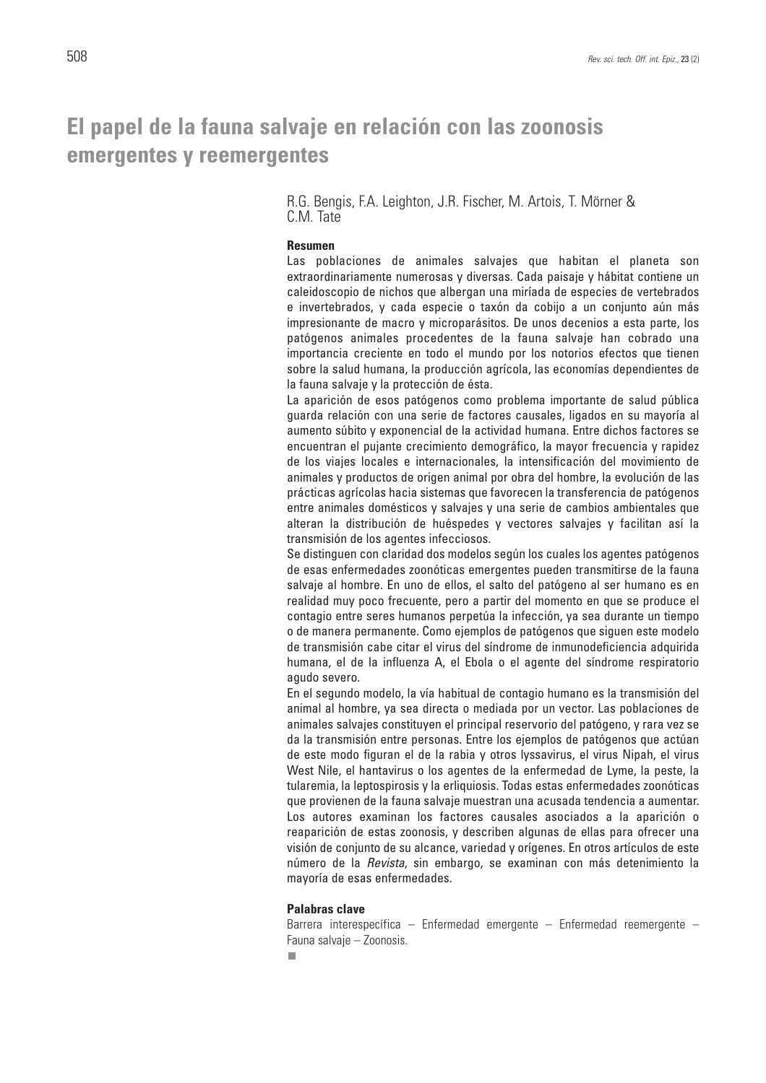## **El papel de la fauna salvaje en relación con las zoonosis emergentes y reemergentes**

#### R.G. Bengis, F.A. Leighton, J.R. Fischer, M. Artois, T. Mörner & C.M. Tate

#### **Resumen**

Las poblaciones de animales salvajes que habitan el planeta son extraordinariamente numerosas y diversas. Cada paisaje y hábitat contiene un caleidoscopio de nichos que albergan una miríada de especies de vertebrados e invertebrados, y cada especie o taxón da cobijo a un conjunto aún más impresionante de macro y microparásitos. De unos decenios a esta parte, los patógenos animales procedentes de la fauna salvaje han cobrado una importancia creciente en todo el mundo por los notorios efectos que tienen sobre la salud humana, la producción agrícola, las economías dependientes de la fauna salvaje y la protección de ésta.

La aparición de esos patógenos como problema importante de salud pública guarda relación con una serie de factores causales, ligados en su mayoría al aumento súbito y exponencial de la actividad humana. Entre dichos factores se encuentran el pujante crecimiento demográfico, la mayor frecuencia y rapidez de los viajes locales e internacionales, la intensificación del movimiento de animales y productos de origen animal por obra del hombre, la evolución de las prácticas agrícolas hacia sistemas que favorecen la transferencia de patógenos entre animales domésticos y salvajes y una serie de cambios ambientales que alteran la distribución de huéspedes y vectores salvajes y facilitan así la transmisión de los agentes infecciosos.

Se distinguen con claridad dos modelos según los cuales los agentes patógenos de esas enfermedades zoonóticas emergentes pueden transmitirse de la fauna salvaje al hombre. En uno de ellos, el salto del patógeno al ser humano es en realidad muy poco frecuente, pero a partir del momento en que se produce el contagio entre seres humanos perpetúa la infección, ya sea durante un tiempo o de manera permanente. Como ejemplos de patógenos que siguen este modelo de transmisión cabe citar el virus del síndrome de inmunodeficiencia adquirida humana, el de la influenza A, el Ebola o el agente del síndrome respiratorio agudo severo.

En el segundo modelo, la vía habitual de contagio humano es la transmisión del animal al hombre, ya sea directa o mediada por un vector. Las poblaciones de animales salvajes constituyen el principal reservorio del patógeno, y rara vez se da la transmisión entre personas. Entre los ejemplos de patógenos que actúan de este modo figuran el de la rabia y otros lyssavirus, el virus Nipah, el virus West Nile, el hantavirus o los agentes de la enfermedad de Lyme, la peste, la tularemia, la leptospirosis y la erliquiosis. Todas estas enfermedades zoonóticas que provienen de la fauna salvaje muestran una acusada tendencia a aumentar. Los autores examinan los factores causales asociados a la aparición o reaparición de estas zoonosis, y describen algunas de ellas para ofrecer una visión de conjunto de su alcance, variedad y orígenes. En otros artículos de este número de la Revista, sin embargo, se examinan con más detenimiento la mayoría de esas enfermedades.

#### **Palabras clave**

Barrera interespecífica – Enfermedad emergente – Enfermedad reemergente – Fauna salvaje – Zoonosis.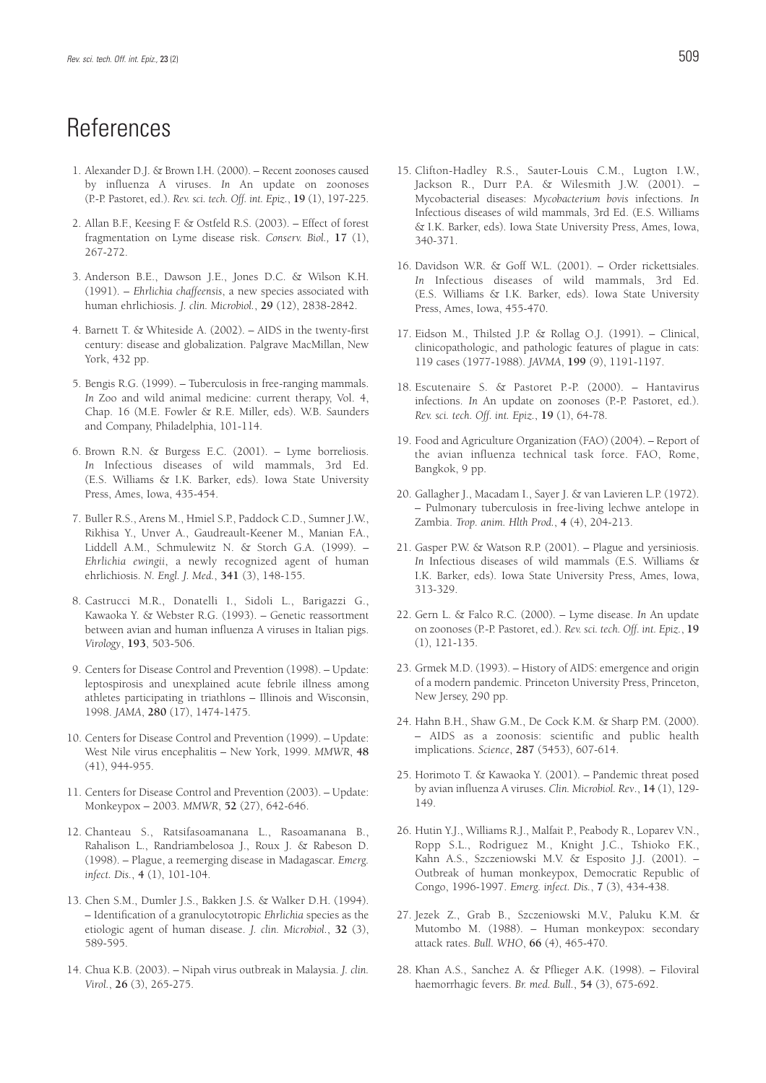## **References**

- 1. Alexander D.J. & Brown I.H. (2000). Recent zoonoses caused by influenza A viruses. *In* An update on zoonoses (P.-P. Pastoret, ed.). *Rev. sci. tech. Off. int. Epiz.*, **19** (1), 197-225.
- 2. Allan B.F., Keesing F. & Ostfeld R.S. (2003). Effect of forest fragmentation on Lyme disease risk. *Conserv. Biol.,* **17** (1), 267-272.
- 3. Anderson B.E., Dawson J.E., Jones D.C. & Wilson K.H. (1991). – *Ehrlichia chaffeensis*, a new species associated with human ehrlichiosis. *J. clin. Microbiol.*, **29** (12), 2838-2842.
- 4. Barnett T. & Whiteside A. (2002). AIDS in the twenty-first century: disease and globalization. Palgrave MacMillan, New York, 432 pp.
- 5. Bengis R.G. (1999). Tuberculosis in free-ranging mammals. *In* Zoo and wild animal medicine: current therapy, Vol. 4, Chap. 16 (M.E. Fowler & R.E. Miller, eds). W.B. Saunders and Company, Philadelphia, 101-114.
- 6. Brown R.N. & Burgess E.C. (2001). Lyme borreliosis. *In* Infectious diseases of wild mammals, 3rd Ed. (E.S. Williams & I.K. Barker, eds). Iowa State University Press, Ames, Iowa, 435-454.
- 7. Buller R.S., Arens M., Hmiel S.P., Paddock C.D., Sumner J.W., Rikhisa Y., Unver A., Gaudreault-Keener M., Manian F.A., Liddell A.M., Schmulewitz N. & Storch G.A. (1999). – *Ehrlichia ewingii*, a newly recognized agent of human ehrlichiosis. *N. Engl. J. Med.*, **341** (3), 148-155.
- 8. Castrucci M.R., Donatelli I., Sidoli L., Barigazzi G., Kawaoka Y. & Webster R.G. (1993). – Genetic reassortment between avian and human influenza A viruses in Italian pigs. *Virology*, **193**, 503-506.
- 9. Centers for Disease Control and Prevention (1998). Update: leptospirosis and unexplained acute febrile illness among athletes participating in triathlons – Illinois and Wisconsin, 1998. *JAMA*, **280** (17), 1474-1475.
- 10. Centers for Disease Control and Prevention (1999). Update: West Nile virus encephalitis – New York, 1999. *MMWR*, **48** (41), 944-955.
- 11. Centers for Disease Control and Prevention (2003). Update: Monkeypox – 2003. *MMWR*, **52** (27), 642-646.
- 12. Chanteau S., Ratsifasoamanana L., Rasoamanana B., Rahalison L., Randriambelosoa J., Roux J. & Rabeson D. (1998). – Plague, a reemerging disease in Madagascar. *Emerg. infect. Dis.*, **4** (1), 101-104.
- 13. Chen S.M., Dumler J.S., Bakken J.S. & Walker D.H. (1994). – Identification of a granulocytotropic *Ehrlichia* species as the etiologic agent of human disease. *J. clin. Microbiol.*, **32** (3), 589-595.
- 14. Chua K.B. (2003). Nipah virus outbreak in Malaysia. *J. clin. Virol.*, **26** (3), 265-275.
- 15. Clifton-Hadley R.S., Sauter-Louis C.M., Lugton I.W., Jackson R., Durr P.A. & Wilesmith J.W. (2001). – Mycobacterial diseases: *Mycobacterium bovis* infections. *In* Infectious diseases of wild mammals, 3rd Ed. (E.S. Williams & I.K. Barker, eds). Iowa State University Press, Ames, Iowa, 340-371.
- 16. Davidson W.R. & Goff W.L. (2001). Order rickettsiales. *In* Infectious diseases of wild mammals, 3rd Ed. (E.S. Williams & I.K. Barker, eds). Iowa State University Press, Ames, Iowa, 455-470.
- 17. Eidson M., Thilsted J.P. & Rollag O.J. (1991). Clinical, clinicopathologic, and pathologic features of plague in cats: 119 cases (1977-1988). *JAVMA*, **199** (9), 1191-1197.
- 18. Escutenaire S. & Pastoret P.-P. (2000). Hantavirus infections. *In* An update on zoonoses (P.-P. Pastoret, ed.). *Rev. sci. tech. Off. int. Epiz.*, **19** (1), 64-78.
- 19. Food and Agriculture Organization (FAO) (2004). Report of the avian influenza technical task force. FAO, Rome, Bangkok, 9 pp.
- 20. Gallagher J., Macadam I., Sayer J. & van Lavieren L.P. (1972). – Pulmonary tuberculosis in free-living lechwe antelope in Zambia. *Trop. anim. Hlth Prod.*, **4** (4), 204-213.
- 21. Gasper P.W. & Watson R.P. (2001). Plague and yersiniosis. *In* Infectious diseases of wild mammals (E.S. Williams & I.K. Barker, eds). Iowa State University Press, Ames, Iowa, 313-329.
- 22. Gern L. & Falco R.C. (2000). Lyme disease. *In* An update on zoonoses (P.-P. Pastoret, ed.). *Rev. sci. tech. Off. int. Epiz.*, **19** (1), 121-135.
- 23. Grmek M.D. (1993). History of AIDS: emergence and origin of a modern pandemic. Princeton University Press, Princeton, New Jersey, 290 pp.
- 24. Hahn B.H., Shaw G.M., De Cock K.M. & Sharp P.M. (2000). – AIDS as a zoonosis: scientific and public health implications. *Science*, **287** (5453), 607-614.
- 25. Horimoto T. & Kawaoka Y. (2001). Pandemic threat posed by avian influenza A viruses. *Clin. Microbiol. Rev*., **14** (1), 129- 149.
- 26. Hutin Y.J., Williams R.J., Malfait P., Peabody R., Loparev V.N., Ropp S.L., Rodriguez M., Knight J.C., Tshioko F.K., Kahn A.S., Szczeniowski M.V. & Esposito J.J. (2001). – Outbreak of human monkeypox, Democratic Republic of Congo, 1996-1997. *Emerg. infect. Dis.*, **7** (3), 434-438.
- 27. Jezek Z., Grab B., Szczeniowski M.V., Paluku K.M. & Mutombo M. (1988). – Human monkeypox: secondary attack rates. *Bull. WHO*, **66** (4), 465-470.
- 28. Khan A.S., Sanchez A. & Pflieger A.K. (1998). Filoviral haemorrhagic fevers. *Br. med. Bull.*, **54** (3), 675-692.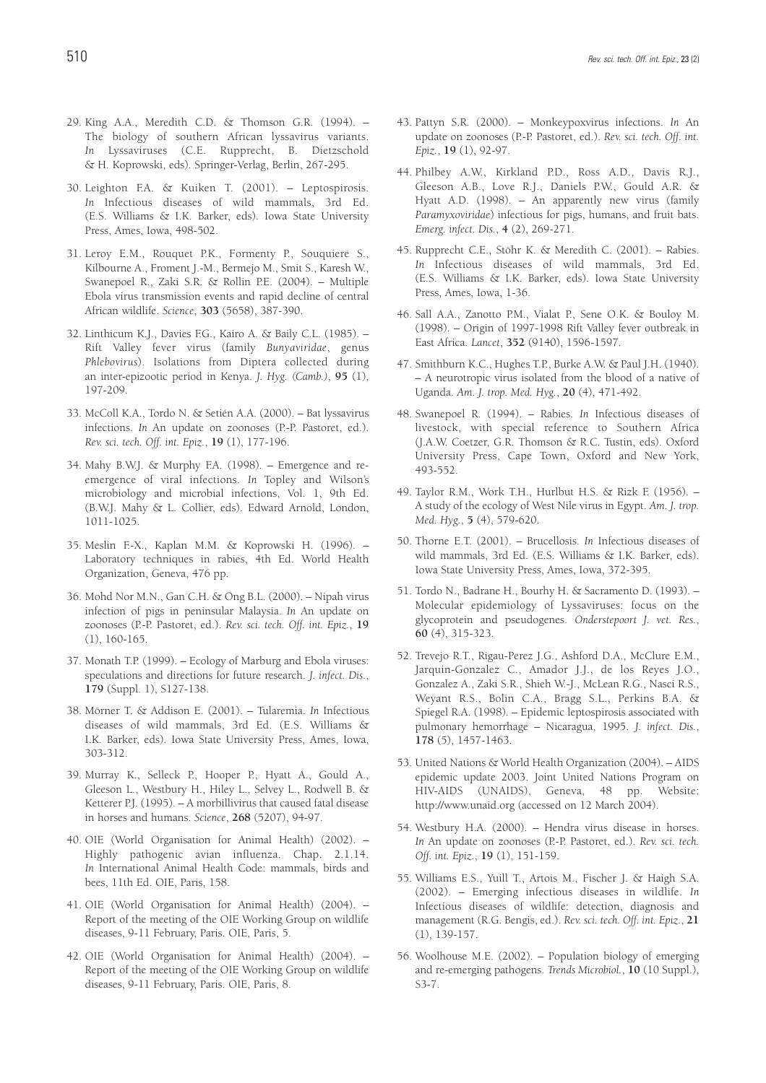- 29. King A.A., Meredith C.D. & Thomson G.R. (1994). The biology of southern African lyssavirus variants. *In* Lyssaviruses (C.E. Rupprecht, B. Dietzschold & H. Koprowski, eds). Springer-Verlag, Berlin, 267-295.
- 30. Leighton F.A. & Kuiken T. (2001). Leptospirosis. *In* Infectious diseases of wild mammals, 3rd Ed. (E.S. Williams & I.K. Barker, eds). Iowa State University Press, Ames, Iowa, 498-502.
- 31. Leroy E.M., Rouquet P.K., Formenty P., Souquiere S., Kilbourne A., Froment J.-M., Bermejo M., Smit S., Karesh W., Swanepoel R., Zaki S.R. & Rollin P.E. (2004). – Multiple Ebola virus transmission events and rapid decline of central African wildlife. *Science*, **303** (5658), 387-390.
- 32. Linthicum K.J., Davies F.G., Kairo A. & Baily C.L. (1985). Rift Valley fever virus (family *Bunyaviridae*, genus *Phlebovirus*). Isolations from Diptera collected during an inter-epizootic period in Kenya. *J. Hyg. (Camb.)*, **95** (1), 197-209.
- 33. McColl K.A., Tordo N. & Setién A.A. (2000). Bat lyssavirus infections. *In* An update on zoonoses (P.-P. Pastoret, ed.). *Rev. sci. tech. Off. int. Epiz.*, **19** (1), 177-196.
- 34. Mahy B.W.J. & Murphy F.A. (1998). Emergence and reemergence of viral infections. *In* Topley and Wilson's microbiology and microbial infections, Vol. 1, 9th Ed. (B.W.J. Mahy & L. Collier, eds). Edward Arnold, London, 1011-1025.
- 35. Meslin F.-X., Kaplan M.M. & Koprowski H. (1996). Laboratory techniques in rabies, 4th Ed. World Health Organization, Geneva, 476 pp.
- 36. Mohd Nor M.N., Gan C.H. & Ong B.L. (2000). Nipah virus infection of pigs in peninsular Malaysia. *In* An update on zoonoses (P.-P. Pastoret, ed.). *Rev. sci. tech. Off. int. Epiz.*, **19** (1), 160-165.
- 37. Monath T.P. (1999). Ecology of Marburg and Ebola viruses: speculations and directions for future research. *J. infect. Dis.*, **179** (Suppl. 1), S127-138.
- 38. Mörner T. & Addison E. (2001). Tularemia. *In* Infectious diseases of wild mammals, 3rd Ed. (E.S. Williams & I.K. Barker, eds). Iowa State University Press, Ames, Iowa, 303-312.
- 39. Murray K., Selleck P., Hooper P., Hyatt A., Gould A., Gleeson L., Westbury H., Hiley L., Selvey L., Rodwell B. & Ketterer P.J. (1995). – A morbillivirus that caused fatal disease in horses and humans. *Science*, **268** (5207), 94-97.
- 40. OIE (World Organisation for Animal Health) (2002). Highly pathogenic avian influenza. Chap. 2.1.14. *In* International Animal Health Code: mammals, birds and bees, 11th Ed. OIE, Paris, 158.
- 41. OIE (World Organisation for Animal Health) (2004). Report of the meeting of the OIE Working Group on wildlife diseases, 9-11 February, Paris. OIE, Paris, 5.
- 42. OIE (World Organisation for Animal Health) (2004). Report of the meeting of the OIE Working Group on wildlife diseases, 9-11 February, Paris. OIE, Paris, 8.
- 43. Pattyn S.R. (2000). Monkeypoxvirus infections. *In* An update on zoonoses (P.-P. Pastoret, ed.). *Rev. sci. tech. Off. int. Epiz.*, **19** (1), 92-97.
- 44. Philbey A.W., Kirkland P.D., Ross A.D., Davis R.J., Gleeson A.B., Love R.J., Daniels P.W., Gould A.R. & Hyatt A.D. (1998). – An apparently new virus (family *Paramyxoviridae*) infectious for pigs, humans, and fruit bats. *Emerg. infect. Dis.*, **4** (2), 269-271.
- 45. Rupprecht C.E., Stöhr K. & Meredith C. (2001). Rabies. *In* Infectious diseases of wild mammals, 3rd Ed. (E.S. Williams & I.K. Barker, eds). Iowa State University Press, Ames, Iowa, 1-36.
- 46. Sall A.A., Zanotto P.M., Vialat P., Sene O.K. & Bouloy M. (1998). – Origin of 1997-1998 Rift Valley fever outbreak in East Africa. *Lancet*, **352** (9140), 1596-1597.
- 47. Smithburn K.C., Hughes T.P., Burke A.W. & Paul J.H. (1940). – A neurotropic virus isolated from the blood of a native of Uganda. *Am. J. trop. Med. Hyg.*, **20** (4), 471-492.
- 48. Swanepoel R. (1994). Rabies. *In* Infectious diseases of livestock, with special reference to Southern Africa (J.A.W. Coetzer, G.R. Thomson & R.C. Tustin, eds). Oxford University Press, Cape Town, Oxford and New York, 493-552.
- 49. Taylor R.M., Work T.H., Hurlbut H.S. & Rizk F. (1956). A study of the ecology of West Nile virus in Egypt. *Am. J. trop. Med. Hyg.*, **5** (4), 579-620.
- 50. Thorne E.T. (2001). Brucellosis. *In* Infectious diseases of wild mammals, 3rd Ed. (E.S. Williams & I.K. Barker, eds). Iowa State University Press, Ames, Iowa, 372-395.
- 51. Tordo N., Badrane H., Bourhy H. & Sacramento D. (1993). Molecular epidemiology of Lyssaviruses: focus on the glycoprotein and pseudogenes. *Onderstepoort J. vet. Res.*, **60** (4), 315-323.
- 52. Trevejo R.T., Rigau-Perez J.G., Ashford D.A., McClure E.M., Jarquin-Gonzalez C., Amador J.J., de los Reyes J.O., Gonzalez A., Zaki S.R., Shieh W.-J., McLean R.G., Nasci R.S., Weyant R.S., Bolin C.A., Bragg S.L., Perkins B.A. & Spiegel R.A. (1998). – Epidemic leptospirosis associated with pulmonary hemorrhage – Nicaragua, 1995. *J. infect. Dis.*, **178** (5), 1457-1463.
- 53. United Nations & World Health Organization (2004). AIDS epidemic update 2003. Joint United Nations Program on HIV-AIDS (UNAIDS), Geneva, 48 pp. Website: http://www.unaid.org (accessed on 12 March 2004).
- 54. Westbury H.A. (2000). Hendra virus disease in horses. *In* An update on zoonoses (P.-P. Pastoret, ed.). *Rev. sci. tech. Off. int. Epiz.*, **19** (1), 151-159.
- 55. Williams E.S., Yuill T., Artois M., Fischer J. & Haigh S.A. (2002). – Emerging infectious diseases in wildlife. *In* Infectious diseases of wildlife: detection, diagnosis and management (R.G. Bengis, ed.). *Rev. sci. tech. Off. int. Epiz.*, **21** (1), 139-157.
- 56. Woolhouse M.E. (2002). Population biology of emerging and re-emerging pathogens. *Trends Microbiol.*, **10** (10 Suppl.), S3-7.